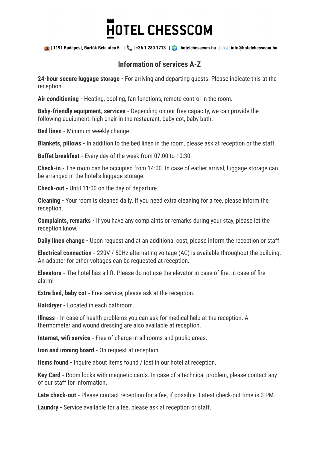## **HOTEL CHESSCOM**

| | **1191 Budapest, Bartók Béla utca 5.** | | **+36 1 280 1713** | | **hotelchesscom.hu** | | **info@hotelchesscom.hu**

## **Information of services A-Z**

**24-hour secure luggage storage -** For arriving and departing guests. Please indicate this at the reception.

**Air conditioning -** Heating, cooling, fan functions, remote control in the room.

**Baby-friendly equipment, services -** Depending on our free capacity, we can provide the following equipment: high chair in the restaurant, baby cot, baby bath.

**Bed linen -** Minimum weekly change.

**Blankets, pillows -** In addition to the bed linen in the room, please ask at reception or the staff.

**Buffet breakfast -** Every day of the week from 07:00 to 10:30.

**Check-in -** The room can be occupied from 14:00. In case of earlier arrival, luggage storage can be arranged in the hotel's luggage storage.

**Check-out -** Until 11:00 on the day of departure.

**Cleaning -** Your room is cleaned daily. If you need extra cleaning for a fee, please inform the reception.

**Complaints, remarks -** If you have any complaints or remarks during your stay, please let the reception know.

**Daily linen change -** Upon request and at an additional cost, please inform the reception or staff.

**Electrical connection -** 220V / 50Hz alternating voltage (AC) is available throughout the building. An adapter for other voltages can be requested at reception.

**Elevators -** The hotel has a lift. Please do not use the elevator in case of fire, in case of fire alarm!

**Extra bed, baby cot -** Free service, please ask at the reception.

**Hairdryer -** Located in each bathroom.

**Illness -** In case of health problems you can ask for medical help at the reception. A thermometer and wound dressing are also available at reception.

**Internet, wifi service -** Free of charge in all rooms and public areas.

**Iron and ironing board -** On request at reception.

**Items found -** Inquire about items found / lost in our hotel at reception.

**Key Card -** Room locks with magnetic cards. In case of a technical problem, please contact any of our staff for information.

**Late check-out -** Please contact reception for a fee, if possible. Latest check-out time is 3 PM.

**Laundry -** Service available for a fee, please ask at reception or staff.